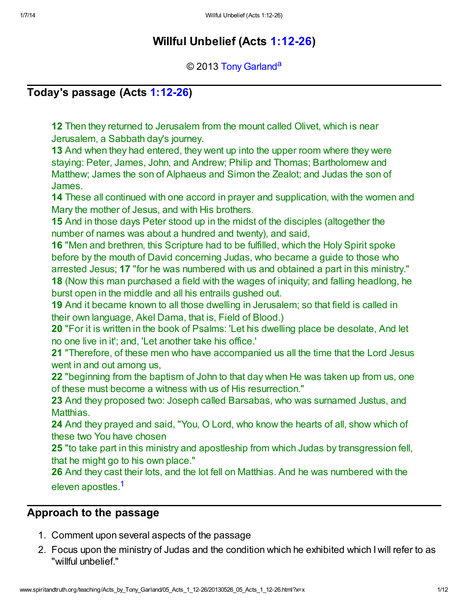# Willful Unbelief (Acts [1:12-26\)](http://www.spiritandtruth.org/bibles/nasb/b44c001.htm#Acts_C1V12)

### <span id="page-0-1"></span>© 2013 [Tony Garland](http://www.spiritandtruth.org/id/tg.htm)<sup>[a](#page-10-0)</sup>

## Today's passage (Acts [1:12-26\)](http://www.spiritandtruth.org/bibles/nasb/b44c001.htm#Acts_C1V12)

12 Then they returned to Jerusalem from the mount called Olivet, which is near Jerusalem, a Sabbath day's journey.

13 And when they had entered, they went up into the upper room where they were staying: Peter, James, John, and Andrew; Philip and Thomas; Bartholomew and Matthew; James the son of Alphaeus and Simon the Zealot; and Judas the son of James.

14 These all continued with one accord in prayer and supplication, with the women and Mary the mother of Jesus, and with His brothers.

15 And in those days Peter stood up in the midst of the disciples (altogether the number of names was about a hundred and twenty), and said,

16 "Men and brethren, this Scripture had to be fulfilled, which the Holy Spirit spoke before by the mouth of David concerning Judas, who became a guide to those who arrested Jesus; 17 "for he was numbered with us and obtained a part in this ministry."

18 (Now this man purchased a field with the wages of iniquity; and falling headlong, he burst open in the middle and all his entrails gushed out.

19 And it became known to all those dwelling in Jerusalem; so that field is called in their own language, Akel Dama, that is, Field of Blood.)

20 "For it is written in the book of Psalms: 'Let his dwelling place be desolate, And let no one live in it'; and, 'Let another take his office.'

21 "Therefore, of these men who have accompanied us all the time that the Lord Jesus went in and out among us,

22 "beginning from the baptism of John to that day when He was taken up from us, one of these must become a witness with us of His resurrection."

23 And they proposed two: Joseph called Barsabas, who was surnamed Justus, and Matthias.

24 And they prayed and said, "You, O Lord, who know the hearts of all, show which of these two You have chosen

25 "to take part in this ministry and apostleship from which Judas by transgression fell, that he might go to his own place."

<span id="page-0-0"></span>26 And they cast their lots, and the lot fell on Matthias. And he was numbered with the eleven apostles.<sup>[1](#page-10-1)</sup>

## Approach to the passage

- 1. Comment upon several aspects of the passage
- 2. Focus upon the ministry of Judas and the condition which he exhibited which I will refer to as "willful unbelief."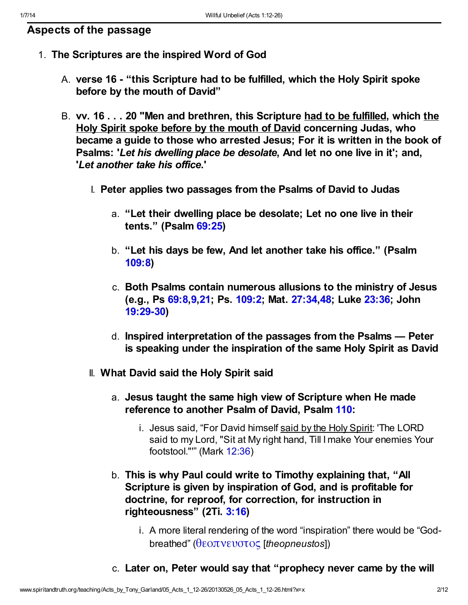- 1. The Scriptures are the inspired Word of God
	- A. verse 16 "this Scripture had to be fulfilled, which the Holy Spirit spoke before by the mouth of David"
	- B. vv. 16 . . . 20 "Men and brethren, this Scripture had to be fulfilled, which the Holy Spirit spoke before by the mouth of David concerning Judas, who became a guide to those who arrested Jesus; For it is written in the book of Psalms: 'Let his dwelling place be desolate, And let no one live in it'; and, 'Let another take his office.'
		- I. Peter applies two passages from the Psalms of David to Judas
			- a. "Let their dwelling place be desolate; Let no one live in their tents." (Psalm [69:25\)](http://www.spiritandtruth.org/bibles/nasb/b19c069.htm#Ps._C69V25)
			- b. "Let his days be few, And let another take his office." (Psalm [109:8](http://www.spiritandtruth.org/bibles/nasb/b19c109.htm#Ps._C109V8))
			- c. Both Psalms contain numerous allusions to the ministry of Jesus (e.g., Ps [69:8](http://www.spiritandtruth.org/bibles/nasb/b19c069.htm#Ps._C69V8),[9](http://www.spiritandtruth.org/bibles/nasb/b19c069.htm#Ps._C69V9)[,21;](http://www.spiritandtruth.org/bibles/nasb/b19c069.htm#Ps._C69V21) Ps. [109:2](http://www.spiritandtruth.org/bibles/nasb/b19c109.htm#Ps._C109V2); Mat. [27:34](http://www.spiritandtruth.org/bibles/nasb/b40c027.htm#Mat._C27V34),[48](http://www.spiritandtruth.org/bibles/nasb/b40c027.htm#Mat._C27V48); Luke [23:36](http://www.spiritandtruth.org/bibles/nasb/b42c023.htm#Luke_C23V36); John [19:29-30](http://www.spiritandtruth.org/bibles/nasb/b43c019.htm#John_C19V29))
			- d. Inspired interpretation of the passages from the Psalms Peter is speaking under the inspiration of the same Holy Spirit as David
		- II. What David said the Holy Spirit said
			- a. Jesus taught the same high view of Scripture when He made reference to another Psalm of David, Psalm [110:](http://www.spiritandtruth.org/bibles/nasb/b19c110.htm#Ps._C110V1)
				- i. Jesus said, "For David himself said by the Holy Spirit: 'The LORD said to my Lord, "Sit at My right hand, Till I make Your enemies Your footstool."'" (Mark [12:36\)](http://www.spiritandtruth.org/bibles/nasb/b41c012.htm#Mark_C12V36)
			- b. This is why Paul could write to Timothy explaining that, "All Scripture is given by inspiration of God, and is profitable for doctrine, for reproof, for correction, for instruction in righteousness" (2Ti. [3:16](http://www.spiritandtruth.org/bibles/nasb/b55c003.htm#2Ti._C3V16))
				- i. A more literal rendering of the word "inspiration" there would be "Godbreathed" ([θεοπνευστος](http://www.spiritandtruth.org/fontsu/index.htm) [theopneustos])
			- c. Later on, Peter would say that "prophecy never came by the will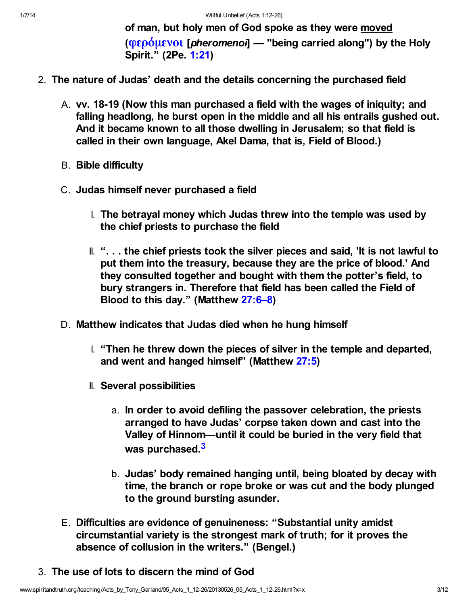of man, but holy men of God spoke as they were moved ( $\phi \epsilon_0$ ) ( $\phi \epsilon_1$ ) [pheromenoi] — "being carried along") by the Holy Spirit." (2Pe. [1:21\)](http://www.spiritandtruth.org/bibles/nasb/b61c001.htm#2Pe._C1V21)

- 2. The nature of Judas' death and the details concerning the purchased field
	- A. vv. 18-19 (Now this man purchased a field with the wages of iniquity; and falling headlong, he burst open in the middle and all his entrails gushed out. And it became known to all those dwelling in Jerusalem; so that field is called in their own language, Akel Dama, that is, Field of Blood.)
	- B. Bible difficulty
	- C. Judas himself never purchased a field
		- I. The betrayal money which Judas threw into the temple was used by the chief priests to purchase the field
		- II. "... the chief priests took the silver pieces and said, 'It is not lawful to put them into the treasury, because they are the price of blood.' And they consulted together and bought with them the potter's field, to bury strangers in. Therefore that field has been called the Field of Blood to this day." (Matthew [27:6–8\)](http://www.spiritandtruth.org/bibles/nasb/b40c027.htm#Mat._C27V6)
	- D. Matthew indicates that Judas died when he hung himself
		- I. "Then he threw down the pieces of silver in the temple and departed, and went and hanged himself" (Matthew [27:5](http://www.spiritandtruth.org/bibles/nasb/b40c027.htm#Mat._C27V5))
		- II. Several possibilities
			- a. In order to avoid defiling the passover celebration, the priests arranged to have Judas' corpse taken down and cast into the Valley of Hinnom—until it could be buried in the very field that was purchased <sup>[3](#page-10-2)</sup>
			- b. Judas' body remained hanging until, being bloated by decay with time, the branch or rope broke or was cut and the body plunged to the ground bursting asunder.
	- E. Difficulties are evidence of genuineness: "Substantial unity amidst circumstantial variety is the strongest mark of truth; for it proves the absence of collusion in the writers." (Bengel.)
- <span id="page-2-0"></span>3. The use of lots to discern the mind of God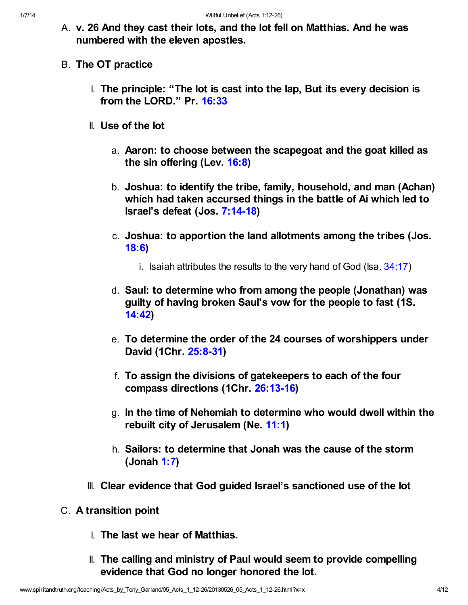- A. v. 26 And they cast their lots, and the lot fell on Matthias. And he was numbered with the eleven apostles.
- B. The OT practice
	- I. The principle: "The lot is cast into the lap, But its every decision is from the LORD." Pr. [16:33](http://www.spiritandtruth.org/bibles/nasb/b20c016.htm#Pr._C16V33)
	- II. Use of the lot
		- a. Aaron: to choose between the scapegoat and the goat killed as the sin offering (Lev. [16:8\)](http://www.spiritandtruth.org/bibles/nasb/b03c016.htm#Lev._C16V8)
		- b. Joshua: to identify the tribe, family, household, and man (Achan) which had taken accursed things in the battle of Ai which led to Israel's defeat (Jos. [7:14-18\)](http://www.spiritandtruth.org/bibles/nasb/b06c007.htm#Jos._C7V14)
		- c. Joshua: to apportion the land allotments among the tribes (Jos. [18:6\)](http://www.spiritandtruth.org/bibles/nasb/b06c018.htm#Jos._C18V6)
			- i. Isaiah attributes the results to the very hand of God (Isa.  $34:17$ )
		- d. Saul: to determine who from among the people (Jonathan) was guilty of having broken Saul's vow for the people to fast (1S. [14:42](http://www.spiritandtruth.org/bibles/nasb/b09c014.htm#1S._C14V42))
		- e. To determine the order of the 24 courses of worshippers under David (1Chr. [25:8-31\)](http://www.spiritandtruth.org/bibles/nasb/b13c025.htm#1Chr._C25V8)
		- f. To assign the divisions of gatekeepers to each of the four compass directions (1Chr. [26:13-16](http://www.spiritandtruth.org/bibles/nasb/b13c026.htm#1Chr._C26V13))
		- g. In the time of Nehemiah to determine who would dwell within the rebuilt city of Jerusalem (Ne. [11:1](http://www.spiritandtruth.org/bibles/nasb/b16c011.htm#Ne._C11V1))
		- h. Sailors: to determine that Jonah was the cause of the storm (Jonah [1:7](http://www.spiritandtruth.org/bibles/nasb/b32c001.htm#Jonah_C1V7))
	- III. Clear evidence that God guided Israel's sanctioned use of the lot
- C. A transition point
	- I. The last we hear of Matthias.
	- II. The calling and ministry of Paul would seem to provide compelling evidence that God no longer honored the lot.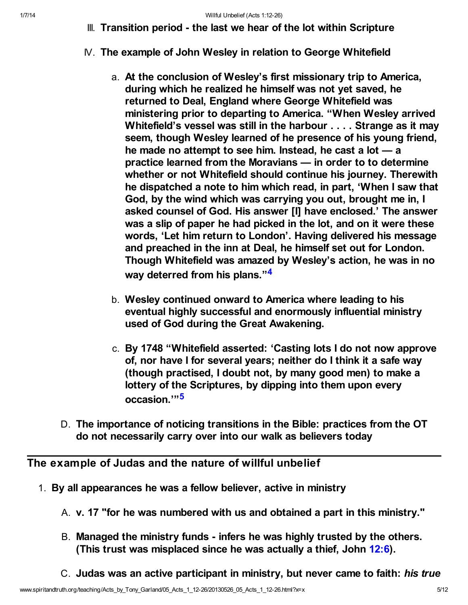- III. Transition period the last we hear of the lot within Scripture
- IV. The example of John Wesley in relation to George Whitefield
	- a. At the conclusion of Wesley's first missionary trip to America, during which he realized he himself was not yet saved, he returned to Deal, England where George Whitefield was ministering prior to departing to America. "When Wesley arrived Whitefield's vessel was still in the harbour . . . . Strange as it may seem, though Wesley learned of he presence of his young friend, he made no attempt to see him. Instead, he cast a lot — a practice learned from the Moravians — in order to to determine whether or not Whitefield should continue his journey. Therewith he dispatched a note to him which read, in part, 'When I saw that God, by the wind which was carrying you out, brought me in, I asked counsel of God. His answer [I] have enclosed.' The answer was a slip of paper he had picked in the lot, and on it were these words, 'Let him return to London'. Having delivered his message and preached in the inn at Deal, he himself set out for London. Though Whitefield was amazed by Wesley's action, he was in no way deterred from his plans."<sup>[4](#page-10-3)</sup>
	- b. Wesley continued onward to America where leading to his eventual highly successful and enormously influential ministry used of God during the Great Awakening.
	- c. By 1748 "Whitefield asserted: 'Casting lots I do not now approve of, nor have I for several years; neither do I think it a safe way (though practised, I doubt not, by many good men) to make a lottery of the Scriptures, by dipping into them upon every occasion.'"[5](#page-10-4)
- <span id="page-4-1"></span><span id="page-4-0"></span>D. The importance of noticing transitions in the Bible: practices from the OT do not necessarily carry over into our walk as believers today

## The example of Judas and the nature of willful unbelief

- 1. By all appearances he was a fellow believer, active in ministry
	- A. v. 17 "for he was numbered with us and obtained a part in this ministry."
	- B. Managed the ministry funds infers he was highly trusted by the others. (This trust was misplaced since he was actually a thief, John [12:6\)](http://www.spiritandtruth.org/bibles/nasb/b43c012.htm#John_C12V6).
	- C. Judas was an active participant in ministry, but never came to faith: his true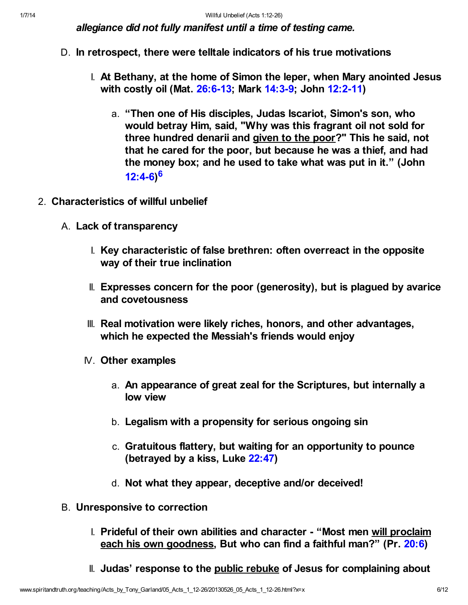allegiance did not fully manifest until a time of testing came.

- D. In retrospect, there were telltale indicators of his true motivations
	- I. At Bethany, at the home of Simon the leper, when Mary anointed Jesus with costly oil (Mat. [26:6-13;](http://www.spiritandtruth.org/bibles/nasb/b40c026.htm#Mat._C26V6) Mark [14:3-9;](http://www.spiritandtruth.org/bibles/nasb/b41c014.htm#Mark_C14V3) John [12:2-11](http://www.spiritandtruth.org/bibles/nasb/b43c012.htm#John_C12V2))
		- a. "Then one of His disciples, Judas Iscariot, Simon's son, who would betray Him, said, "Why was this fragrant oil not sold for three hundred denarii and given to the poor?" This he said, not that he cared for the poor, but because he was a thief, and had the money box; and he used to take what was put in it." (John [12:4-6\)](http://www.spiritandtruth.org/bibles/nasb/b43c012.htm#John_C12V4) [6](#page-10-5)
- <span id="page-5-0"></span>2. Characteristics of willful unbelief
	- A. Lack of transparency
		- I. Key characteristic of false brethren: often overreact in the opposite way of their true inclination
		- II. Expresses concern for the poor (generosity), but is plagued by avarice and covetousness
		- III. Real motivation were likely riches, honors, and other advantages, which he expected the Messiah's friends would enjoy
		- IV. Other examples
			- a. An appearance of great zeal for the Scriptures, but internally a low view
			- b. Legalism with a propensity for serious ongoing sin
			- c. Gratuitous flattery, but waiting for an opportunity to pounce (betrayed by a kiss, Luke [22:47\)](http://www.spiritandtruth.org/bibles/nasb/b42c022.htm#Luke_C22V47)
			- d. Not what they appear, deceptive and/or deceived!
	- B. Unresponsive to correction
		- I. Prideful of their own abilities and character "Most men will proclaim each his own goodness, But who can find a faithful man?" (Pr. [20:6](http://www.spiritandtruth.org/bibles/nasb/b20c020.htm#Pr._C20V6))
		- II. Judas' response to the public rebuke of Jesus for complaining about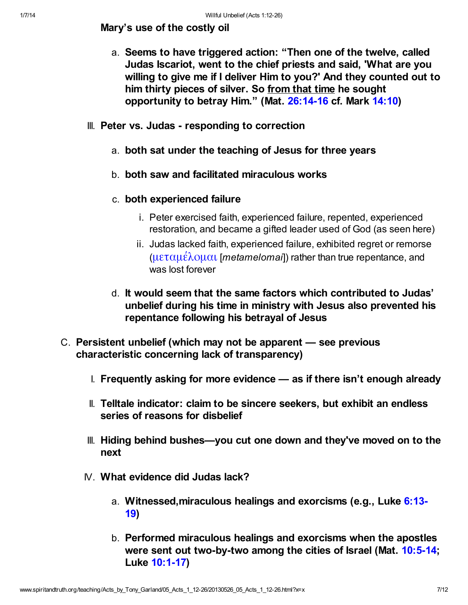Mary's use of the costly oil

- a. Seems to have triggered action: "Then one of the twelve, called Judas Iscariot, went to the chief priests and said, 'What are you willing to give me if I deliver Him to you?' And they counted out to him thirty pieces of silver. So from that time he sought opportunity to betray Him." (Mat. [26:14-16](http://www.spiritandtruth.org/bibles/nasb/b40c026.htm#Mat._C26V14) cf. Mark [14:10\)](http://www.spiritandtruth.org/bibles/nasb/b41c014.htm#Mark_C14V10)
- III. Peter vs. Judas responding to correction
	- a. both sat under the teaching of Jesus for three years
	- b. both saw and facilitated miraculous works
	- c. both experienced failure
		- i. Peter exercised faith, experienced failure, repented, experienced restoration, and became a gifted leader used of God (as seen here)
		- ii. Judas lacked faith, experienced failure, exhibited regret or remorse ([μεταμέλομαι](http://www.spiritandtruth.org/fontsu/index.htm) [metamelomai]) rather than true repentance, and was lost forever
	- d. It would seem that the same factors which contributed to Judas' unbelief during his time in ministry with Jesus also prevented his repentance following his betrayal of Jesus
- C. Persistent unbelief (which may not be apparent see previous characteristic concerning lack of transparency)
	- I. Frequently asking for more evidence as if there isn't enough already
	- II. Telltale indicator: claim to be sincere seekers, but exhibit an endless series of reasons for disbelief
	- III. Hiding behind bushes—you cut one down and they've moved on to the next
	- IV. What evidence did Judas lack?
		- a. [Witnessed,miraculous healings and exorcisms \(e.g., Luke 6:13-](http://www.spiritandtruth.org/bibles/nasb/b42c006.htm#Luke_C6V13) 19)
		- b. Performed miraculous healings and exorcisms when the apostles were sent out two-by-two among the cities of Israel (Mat. [10:5-14](http://www.spiritandtruth.org/bibles/nasb/b40c010.htm#Mat._C10V5); Luke [10:1-17\)](http://www.spiritandtruth.org/bibles/nasb/b42c010.htm#Luke_C10V1)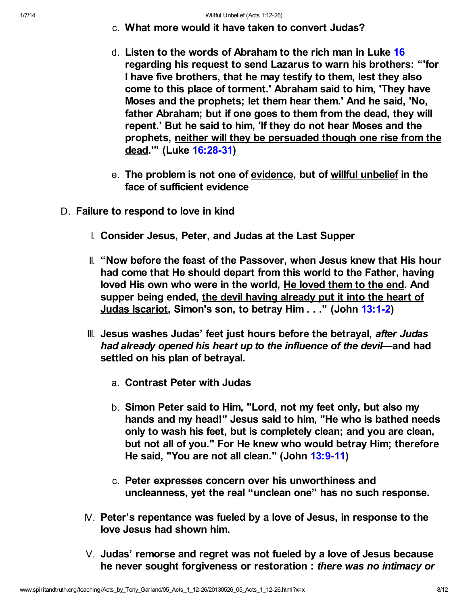- c. What more would it have taken to convert Judas?
- d. Listen to the words of Abraham to the rich man in Luke [16](http://www.spiritandtruth.org/bibles/nasb/b42c016.htm#Luke_C16V1) regarding his request to send Lazarus to warn his brothers: "'for I have five brothers, that he may testify to them, lest they also come to this place of torment.' Abraham said to him, 'They have Moses and the prophets; let them hear them.' And he said, 'No, father Abraham; but if one goes to them from the dead, they will repent.' But he said to him, 'If they do not hear Moses and the prophets, neither will they be persuaded though one rise from the dead.'" (Luke [16:28-31](http://www.spiritandtruth.org/bibles/nasb/b42c016.htm#Luke_C16V28))
- e. The problem is not one of evidence, but of willful unbelief in the face of sufficient evidence
- D. Failure to respond to love in kind
	- I. Consider Jesus, Peter, and Judas at the Last Supper
	- II. "Now before the feast of the Passover, when Jesus knew that His hour had come that He should depart from this world to the Father, having loved His own who were in the world, He loved them to the end. And supper being ended, the devil having already put it into the heart of Judas Iscariot, Simon's son, to betray Him . . ." (John [13:1-2](http://www.spiritandtruth.org/bibles/nasb/b43c013.htm#John_C13V1))
	- III. Jesus washes Judas' feet just hours before the betrayal, after Judas had already opened his heart up to the influence of the devil—and had settled on his plan of betrayal.
		- a. Contrast Peter with Judas
		- b. Simon Peter said to Him, "Lord, not my feet only, but also my hands and my head!" Jesus said to him, "He who is bathed needs only to wash his feet, but is completely clean; and you are clean, but not all of you." For He knew who would betray Him; therefore He said, "You are not all clean." (John [13:9-11\)](http://www.spiritandtruth.org/bibles/nasb/b43c013.htm#John_C13V9)
		- c. Peter expresses concern over his unworthiness and uncleanness, yet the real "unclean one" has no such response.
	- IV. Peter's repentance was fueled by a love of Jesus, in response to the love Jesus had shown him.
	- V. Judas' remorse and regret was not fueled by a love of Jesus because he never sought forgiveness or restoration : there was no intimacy or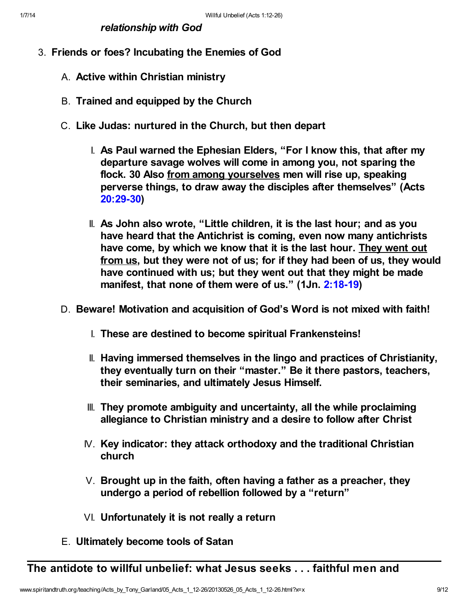relationship with God

- 3. Friends or foes? Incubating the Enemies of God
	- A. Active within Christian ministry
	- B. Trained and equipped by the Church
	- C. Like Judas: nurtured in the Church, but then depart
		- I. As Paul warned the Ephesian Elders, "For I know this, that after my departure savage wolves will come in among you, not sparing the flock. 30 Also from among yourselves men will rise up, speaking perverse things, to draw away the disciples after themselves" (Acts [20:29-30](http://www.spiritandtruth.org/bibles/nasb/b44c020.htm#Acts_C20V29))
		- II. As John also wrote, "Little children, it is the last hour; and as you have heard that the Antichrist is coming, even now many antichrists have come, by which we know that it is the last hour. They went out from us, but they were not of us; for if they had been of us, they would have continued with us; but they went out that they might be made manifest, that none of them were of us." (1Jn. [2:18-19](http://www.spiritandtruth.org/bibles/nasb/b62c002.htm#1Jn._C2V18))
	- D. Beware! Motivation and acquisition of God's Word is not mixed with faith!
		- I. These are destined to become spiritual Frankensteins!
		- II. Having immersed themselves in the lingo and practices of Christianity, they eventually turn on their "master." Be it there pastors, teachers, their seminaries, and ultimately Jesus Himself.
		- III. They promote ambiguity and uncertainty, all the while proclaiming allegiance to Christian ministry and a desire to follow after Christ
		- IV. Key indicator: they attack orthodoxy and the traditional Christian church
		- $V.$  Brought up in the faith, often having a father as a preacher, they undergo a period of rebellion followed by a "return"
		- VI. Unfortunately it is not really a return
	- E. Ultimately become tools of Satan

The antidote to willful unbelief: what Jesus seeks . . . faithful men and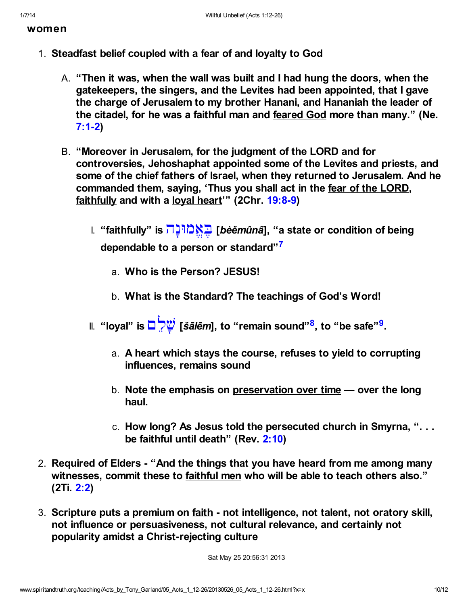women

- <span id="page-9-0"></span>1. Steadfast belief coupled with a fear of and loyalty to God
	- A. "Then it was, when the wall was built and I had hung the doors, when the gatekeepers, the singers, and the Levites had been appointed, that I gave the charge of Jerusalem to my brother Hanani, and Hananiah the leader of the citadel, for he was a faithful man and feared God more than many." (Ne. [7:1-2\)](http://www.spiritandtruth.org/bibles/nasb/b16c007.htm#Ne._C7V1)
	- B. "Moreover in Jerusalem, for the judgment of the LORD and for controversies, Jehoshaphat appointed some of the Levites and priests, and some of the chief fathers of Israel, when they returned to Jerusalem. And he commanded them, saying, 'Thus you shall act in the fear of the LORD, faithfully and with a loyal heart'" (2Chr. [19:8-9\)](http://www.spiritandtruth.org/bibles/nasb/b14c019.htm#2Chr._C19V8)
		- I. "faithfully" is [הָוּנġ ֱא Ąבּ](http://www.spiritandtruth.org/fontsu/index.htm)] bèěmûnâ], "a state or condition of being dependable to a person or standard"<sup>[7](#page-10-6)</sup>
			- a. Who is the Person? JESUS!
			- b. What is the Standard? The teachings of God's Word!
		- II. "loyal" is ◘ <mark>♡਼ੇヅ</mark> [*šālēm*], to "remain sound"<sup>[8](#page-10-7)</sup>, to "be safe"<sup>[9](#page-10-8)</sup>.
			- a. A heart which stays the course, refuses to yield to corrupting influences, remains sound
			- b. Note the emphasis on preservation over time  $\sim$  over the long haul.
			- c. How long? As Jesus told the persecuted church in Smyrna, ". . . be faithful until death" (Rev. [2:10](http://www.spiritandtruth.org/bibles/nasb/b66c002.htm#Rev._C2V10))
- 2. Required of Elders "And the things that you have heard from me among many witnesses, commit these to faithful men who will be able to teach others also." (2Ti. [2:2\)](http://www.spiritandtruth.org/bibles/nasb/b55c002.htm#2Ti._C2V2)
- 3. Scripture puts a premium on faith not intelligence, not talent, not oratory skill, not influence or persuasiveness, not cultural relevance, and certainly not popularity amidst a Christ-rejecting culture

<span id="page-9-2"></span><span id="page-9-1"></span>Sat May 25 20:56:31 2013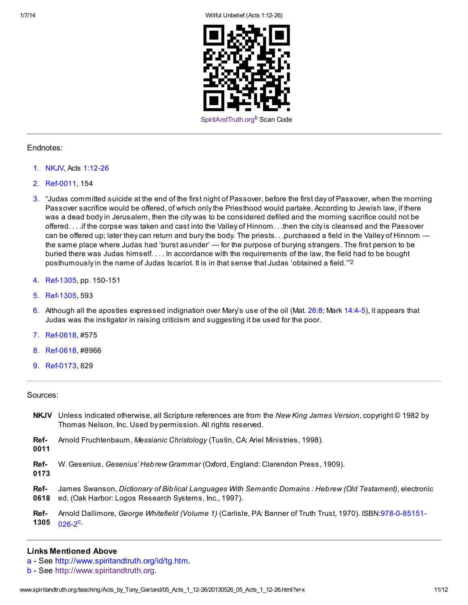1/7/14 Willful Unbelief (Acts 1:12-26)

<span id="page-10-12"></span><span id="page-10-10"></span>

#### Endnotes:

- <span id="page-10-1"></span>[1.](#page-0-0) NKJV, Acts [1:12-26](http://www.spiritandtruth.org/bibles/nasb/b44c001.htm#Acts_C1V12)
- <span id="page-10-11"></span>[2.](#page-10-10) Ref-0011, 154
- <span id="page-10-2"></span>[3.](#page-2-0) "Judas committed suicide at the end of the first night of Passover, before the first day of Passover, when the morning Passover sacrifice would be offered, of which only the Priesthood would partake. According to Jewish law, if there was a dead body in Jerusalem, then the city was to be considered defiled and the morning sacrifice could not be offered. . . .if the corpse was taken and cast into the Valley of Hinnom. . .then the city is cleansed and the Passover can be offered up; later they can return and bury the body. The priests... purchased a field in the Valley of Hinnom the same place where Judas had 'burst asunder' — for the purpose of burying strangers. The first person to be buried there was Judas himself. . . . In accordance with the requirements of the law, the field had to be bought posthumously in the name of Judas Iscariot. It is in that sense that Judas 'obtained a field.'"[2](#page-10-11)
- <span id="page-10-3"></span>[4.](#page-4-0) Ref-1305, pp. 150-151
- <span id="page-10-4"></span>[5.](#page-4-1) Ref-1305, 593
- <span id="page-10-5"></span>[6.](#page-5-0) Although all the apostles expressed indignation over Mary's use of the oil (Mat. [26:8](http://www.spiritandtruth.org/bibles/nasb/b40c026.htm#Mat._C26V8); Mark [14:4-5](http://www.spiritandtruth.org/bibles/nasb/b41c014.htm#Mark_C14V4)), it appears that Judas was the instigator in raising criticism and suggesting it be used for the poor.
- <span id="page-10-6"></span>[7.](#page-9-0) Ref-0618, #575
- <span id="page-10-7"></span>[8.](#page-9-1) Ref-0618, #8966
- <span id="page-10-8"></span>[9.](#page-9-2) Ref-0173, 829

#### Sources:

- NKJV Unless indicated otherwise, all Scripture references are from the New King James Version, copyright © 1982 by Thomas Nelson, Inc. Used by permission. All rights reserved.
- Ref-Arnold Fruchtenbaum, Messianic Christology (Tustin, CA: Ariel Ministries, 1998).

0011

- Ref-W. Gesenius, Gesenius' Hebrew Grammar (Oxford, England: Clarendon Press, 1909).
- 0173
- Ref-0618 James Swanson, Dictionary of Biblical Languages With Semantic Domains : Hebrew (Old Testament), electronic ed. (Oak Harbor: Logos Research Systems, Inc., 1997).
- <span id="page-10-13"></span>Ref-1305 Arnold Dallimore, George Whitefield (Volume 1) [\(Carlisle, PA: Banner of Truth Trust, 1970\). ISBN:978-0-85151-](http://www.spiritandtruth.org/id/isbn.htm?978-0-85151-026-2) 026-2[c](#page-11-0).

### Links Mentioned Above

- <span id="page-10-0"></span>[a](#page-0-1) - See <http://www.spiritandtruth.org/id/tg.htm>.
- <span id="page-10-9"></span>[b](#page-10-12) - See [http://www.spiritandtruth.org.](http://www.spiritandtruth.org/)